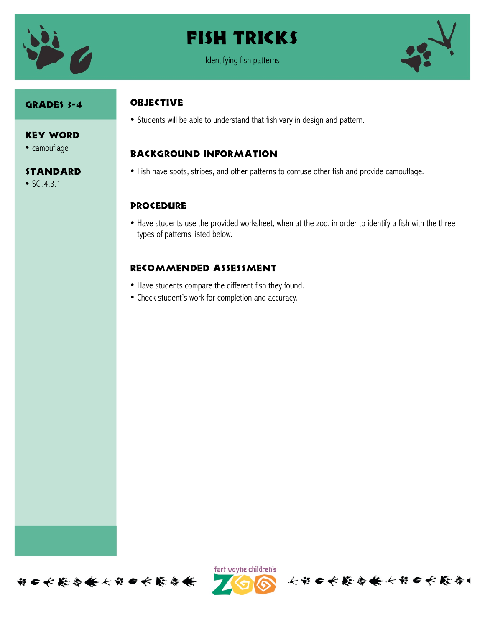

# Fish Tricks



#### GRADES 3-4

#### Key Word

• camouflage

#### Standard

• SCI.4.3.1

#### **OBJECTIVE**

• Students will be able to understand that fish vary in design and pattern.

### Background information

• Fish have spots, stripes, and other patterns to confuse other fish and provide camouflage.

### **PROCEDURE**

• Have students use the provided worksheet, when at the zoo, in order to identify a fish with the three types of patterns listed below.

### Recommended assessment

- Have students compare the different fish they found.
- Check student's work for completion and accuracy.





长节 6 长能参长长节 6 长能参1